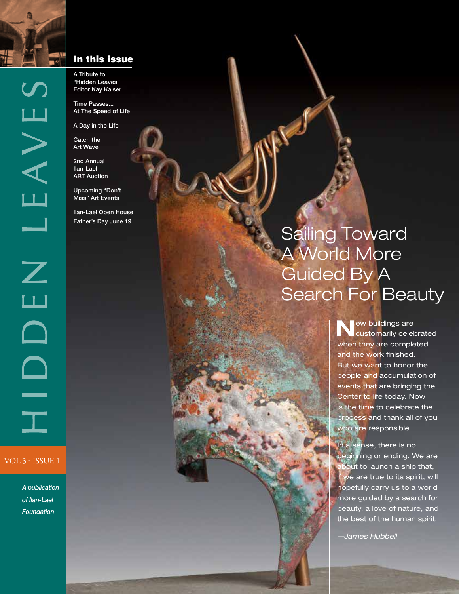

A Tribute to "Hidden Leaves" Editor Kay Kaiser

Time Passes... At The Speed of Life

A Day in the Life

Catch the Art Wave

2nd Annual

Upcoming "Don't

Ilan-Lael Open House

### Sailing Toward A World More Guided By A Search For Beauty

**N**ew buildings are customarily celebrated when they are completed and the work finished. But we want to honor the people and accumulation of events that are bringing the Center to life today. Now is the time to celebrate the process and thank all of you who are responsible.

In a sense, there is no beginning or ending. We are bout to launch a ship that, we are true to its spirit, will hopefully carry us to a world more guided by a search for beauty, a love of nature, and the best of the human spirit.

*—James Hubbell*

EAVES

 $\overline{\phantom{0}}$ 

 $\overline{Z}$ 

Ш

 $\Box$ 

 $\Box$ 

 $\equiv$ 

Ilan-Lael ART Auction

Miss" Art Events

Father's Day June 19

VOL 3 - ISSUE 1

*A publication of Ilan-Lael Foundation*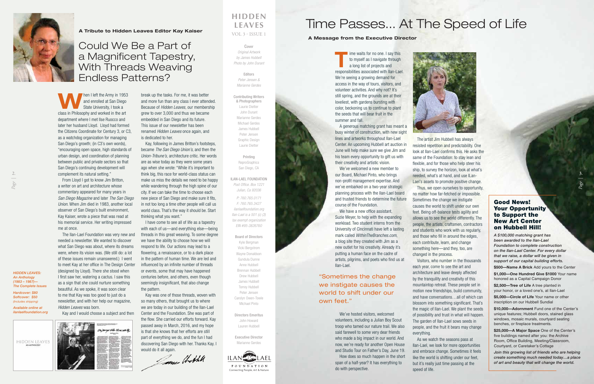$\mathcal{A}$  and  $\mathcal{A}$  and  $\mathcal{A}$  and  $\mathcal{A}$  $\mathbf{C}$   $\mathbf{C}$   $\mathbf{C}$   $\mathbf{C}$   $\mathbf{C}$   $\mathbf{C}$   $\mathbf{C}$   $\mathbf{C}$   $\mathbf{C}$   $\mathbf{C}$   $\mathbf{C}$   $\mathbf{C}$   $\mathbf{C}$   $\mathbf{C}$   $\mathbf{C}$   $\mathbf{C}$   $\mathbf{C}$   $\mathbf{C}$   $\mathbf{C}$   $\mathbf{C}$   $\mathbf{C}$   $\mathbf{C}$   $\mathbf{C}$   $\mathbf{C}$   $\mathbf{$ Interns, Univ. of

Cincinnati—

### Could We Be a Part of a Magnificent Tapestry, With Threads Weaving Endless Patterns?

**T** ime waits for no one. I say this to myself as I navigate through a long list of projects and responsibilities associated with Ilan-Lael. We're seeing a growing demand for access in the way of tours, visitors, and volunteer activities. And why not? It's still spring, and the grounds are at their loveliest, with gardens bursting with color, beckoning us to continue to plant the seeds that will bear fruit in the summer and fall.

A generous matching grant has meant busy winter of construction, with new sight lines and artworks throughout Ilan-Lael Center. An upcoming Hubbell art auction in June will help make sure we give Jim and his team every opportunity to gift us with their creativity and artistic vision.

We've welcomed a new member to our Board, Michael Pinto, who brings non-profit management expertise. And we've embarked on a two-year strategic planning process with the Ilan-Lael board and trusted friends to determine the future course of the Foundation.

We have a new office assistant, Suzie Meyer, to help with the expanding workload. Two student interns from the University of Cincinnati have left a lasting mark called *WithinTheBranches.com*, a blog site they created with Jim as a new outlet for his creativity. Already it's putting a human face on the cadre of artists, pilgrims, and poets who find us at Ilan-Lael.

We've hosted visitors, welcomed volunteers, including a Julian Boy Scout troop who tamed our nature trail. We also said farewell to some very dear friends who made a big impact in our world. And now, we're ready for another Open House and Studio Tour on Father's Day, June 19. How does so much happen in the short span of a half-year? It has everything to

#### *"Speaking to the piece and*  **The Vour Opportunity** to Support the **the seed of the seed of the seed of the seed of the seed of the seed of the seed of the seed of the seed of the seed of the seed of the seed of the seed of the seed of the seed of the seed of the seed of th** Good News! New Art Center on Hubbell Hill!

do with perspective.

The artist Jim Hubbell has always resisted repetition and predictability. One look at Ilan-Lael confirms this. He asks the same of the Foundation: to stay lean and flexible, and for those who help steer his ship, to survey the horizon, look at what's needed, what's at hand, and use ILan-Lael's assets to promote positive change. Thus, we open ourselves to opportunity, no matter how far-fetched or impossible. Sometimes the change we instigate causes the world to shift under our own feet. Being off-balance tests agility and allows us to see the world differently. The people, the artists, craftsmen, contractors and students who work with us regularly, and those who fill in around the edges, each contribute, learn, and change something here—and they, too, are

changed in the process.

Visitors, who number in the thousands each year, come to see the art and architecture and leave deeply affected by the tranquility and creativity of this mountaintop retreat. These people set in motion new friendships, build community, and have conversations…all of which can blossom into something significant. That's the magic of Ilan-Lael. We plant the seeds of possibility and trust in what will happen. The garden of Ilan-Lael sows seeds in people, and the fruit it bears may change everything.

As we watch the seasons pass at Ilan-Lael, we look for more opportunities and embrace change. Sometimes it feels like the world is shifting under our feet, but it's really just time passing at the

speed of life.



### Time Passes... At The Speed of Life

"Sometimes the change we instigate causes the world to shift under our own feet."

*A \$100,000 matching grant has been awarded to the Ilan-Lael Foundation to complete construction on the Ilan-Lael Center. For every dollar that we raise, a dollar will be given in support of our capital building efforts.* 

**\$500—Name A Brick** Add yours to the Center

**\$1,000—One Hundred Give \$1000** Your name honored as a Capital Campaign Donor

**\$2,500—Tree of Life** A tree planted in your honor, or a loved one's, at Ilan-Lael

**\$5,000—Circle of Life** Your name or other inscription on our Hubbell Sundial

**\$10,000—Adornment** Fund one of the Center's unique features; Hubbell doors, stained glass windows, mosaic murals, courtyard seating benches, or fireplace treatments.

**\$25,000—A Major Space** One of the Center's five buildings named after you: the Archive Room, Office Building, Meeting/Classroom, Courtyard, or Caretaker's Cottage



**FOUNDATION** Connecting People, Art & Nature

*Join this growing list of friends who are helping create something much needed today…a place of art and beauty that will change the world.*

### **HIDDEN LEAVES**

VOL 3 - ISSUE 1

Cover *Original Artwork by James Hubbell Photo by John Durant*

> Editors *Peter Jensen & Marianne Gerdes*

Contributing Writers & Photographers Laurie Dietter John Durant Marianne Gerdes Michael Gerdes James Hubbell Peter Jensen Graphic Design Laurie Dietter

> Printing **ReproGraphics** San Diego, CA

ILAN-LAEL FOUNDATION *Post Office. Box 1221 Julian, Ca 92036* 

*P: 760.765.0171 F: 760.765.3427 ilanlaelfoundation.org Ilan-Lael is a 501 (c) (3) tax exempt organization EIN #95-3826760*

Board of Directors Kyle Bergman Vicki Bergstrom Wayne Donaldson Gundula Dunne Anne Hubbell Brennan Hubbell Drew Hubbell James Hubbell Torrey Hubbell Peter Jensen Carolyn Owen-Towle Michael Pinto

Directors Emeritus John Howard Lauren Hubbell

Executive Director Marianne Gerdes



*HIDDEN LEAVES: An Anthology (1983 – 1987)— The Complete Issues Hardcover: \$80 Softcover: \$50 (Includes shipping) Available online at ilanlaelfoundation.org* **A Tribute to Hidden Leaves Editor Kay Kaiser**

### **A Message from the Executive Director**

**W**hen I left the Army in 1953 and enrolled at San Diego State University, I took a class in Philosophy and worked in the art department where I met Ilse Ruocco and later her husband Lloyd. Lloyd had formed the Citizens Coordinate for Century 3, or C3, as a watchdog organization for managing San Diego's growth; (in C3's own words), "encouraging open space, high standards of urban design, and coordination of planning between public and private sectors so that San Diego's continuing development will complement its natural setting."

From Lloyd I got to know Jim Britton, a writer on art and architecture whose commentary appeared for many years in *San Diego Magazine* and later *The San Diego Union*. When Jim died in 1983, another local observer of San Diego's built environment, Kay Kaiser, wrote a piece that was read at his memorial service. Her writing impressed me at once.

The Ilan-Lael Foundation was very new and needed a newsletter. We wanted to discover what San Diego was about, where its dreams were, where its vision was. (We still do: a lot of these issues remain unanswered.) I went to meet Kay at her office in The Design Center (designed by Lloyd). There she stood when I first saw her, watering a cactus. I saw this as a sign that she could nurture something beautiful. As we spoke, it was soon clear to me that Kay was too good to just do a newsletter, and with her help our magazine, *Hidden Leaves* was born.

Kay and I would choose a subject and then



break up the tasks. For me, it was better and more fun than any class I ever attended. Because of *Hidden Leaves,* our membership grew to over 3,000 and thus we became embedded in San Diego and its future. This issue of our newsletter has been renamed *Hidden Leaves* once again, and is dedicated to her.

Kay, following in James Britton's footsteps, became *The San Diego Union's*, and then the *Union-Tribune's,* architecture critic. Her words are as wise today as they were some years ago when she wrote: "While it's important to think big, this race for world-class status can make us miss the details we need to be happy while wandering through the high spine of our city. If we can take the time to choose each new piece of San Diego and make sure it fits, in not too long a time other people will call us world class. That's the way it should be. Start thinking what you want."

I have come to see all of life as a tapestry with each of us—and everything else—being threads in this great weaving. To some degree we have the ability to choose how we will respond to life. Our actions may lead to a flowering, a renaissance, or to a dark place in the pattern of human time. We are led and influenced by an infinite number of threads or events, some that may have happened centuries before, and others, even though seemingly insignificant, that also change the pattern.

Kay was one of those threads, woven with so many others, that brought us to where we are today in our building of the Ilan-Lael Center and the Foundation. She was part of the flow. She carried our efforts forward. Kay passed away in March, 2016, and my hope is that she knows that her efforts are still part of everything we do, and the fun I had discovering San Diego with her. Thanks Kay. I

would do it all again.<br>Author

*Page |*

**2.**

*Page |*

**3.**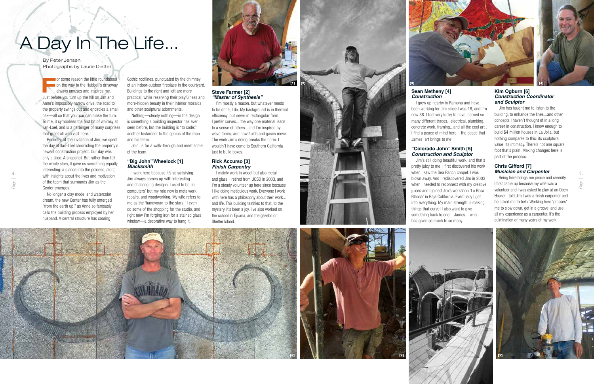**F**or some reason the little roundabout on the way to the Hubbell's driveway always amuses and inspires me. Just before you turn up the hill on Jim and Anne's impossibly narrow drive, the road to the property swings out and encircles a small oak—all so that your car can make the turn. To me, it symbolizes the first bit of whimsy at Ilan-Lael, and is a harbinger of many surprises that greet all who visit here.

Recently, at the invitation of Jim, we spent the day at Ilan-Lael chronicling the property's newest construction project. Our day was only a slice. A snapshot. But rather than tell the whole story, it gave us something equally interesting: a glance into the process, along with insights about the lives and motivation of the team that surrounds Jim as the Center emerges.

No longer a clay model and watercolor dream, the new Center has fully emerged "from the earth up," as Anne so famously calls the building process employed by her husband. A central structure has soaring

Gothic rooflines, punctuated by the chimney of an indoor-outdoor fireplace in the courtyard. Buildings to the right and left are more practical, while reserving their playfulness and more-hidden beauty in their interior mosaics and other sculptural adornments.

Nothing—clearly nothing—in the design is something a building inspector has ever seen before, but the building is "to code:" another testament to the genius of the man and his team.

Join us for a walk-through and meet some of the team...

### **"Big John" Wheelock [1]**  *Blacksmith*

I work here because it's so satisfying. Jim always comes up with interesting and challenging designs. I used to be 'in computers' but my role now is metalwork, repairs, and woodworking. My wife refers to me as the 'handyman to the stars.' I even do some of the shopping for the studio, and right now I'm forging iron for a stained glass window—a decorative way to hang it.



### **Steve Farmer [2]** *"Master of Synthesis"*

I'm mostly a mason, but whatever needs to be done, I do. My background is in thermal efficiency, but never in rectangular form. I prefer curves... the way one material leads to a sense of others...and I'm inspired by wave forms, and how fluids and gases move. The work Jim's doing breaks the norm. I wouldn't have come to Southern California just to build boxes.

### **Rick Accurso [3]** *Finish Carpentry*

I mainly work in wood, but also metal and glass. I retired from UCSD in 2003, and I'm a steady volunteer up here since because I like doing meticulous work. Everyone I work with here has a philosophy about their work... and life. This building testifies to that, to the mystery. It's been a joy. I've also worked on the school in Tijuana, and the gazebo on Shelter Island.



# A Day In The Life...

### **Sean Metheny [4]** *Construction*

I grew up nearby in Ramona and have been working for Jim since I was 18, and I'm now 38. I feel very lucky to have learned so many different trades...electrical, plumbing, concrete work, framing...and all the cool art . I find a peace of mind here—the peace that

James' art brings to me.

### **"Colorado John" Smith [5]** *Construction and Sculptor*

Jim's still doing beautiful work, and that's pretty juicy to me. I first discovered his work when I saw the Sea Ranch chapel. I was blown away. And I rediscovered Jim in 2003 when I needed to reconnect with my creative juices and I joined Jim's workshop 'La Rosa Blanca' in Baja California. Eventually I got into everything. My main strength is making things that curve! I also want to give something back to one—James—who has given so much to so many.







### **Kim Ogburn [6]** *Construction Coordinator and Sculptor*

Jim has taught me to listen to the building, to enhance the lines...and other concepts I haven't thought of in a long career in construction. I know enough to build \$4 million houses in La Jolla, but nothing compares to this: its sculptural value, its intimacy. There's not one square foot that's plain. Making changes here is part of the process.

### **Chris Gifford [7]** *Musician and Carpenter*

Being here brings me peace and serenity. I first came up because my wife was a volunteer and I was asked to play at an Open House. I told Jim I was a finish carpenter and he asked me to help. Working here 'presses' me to slow down, get in a groove, and use all my experience as a carpenter. It's the culmination of many years of my work.





#### By Peter Jensen Photographs by Laurie Dietter

*Page |* **4.**

*Page |* **5.**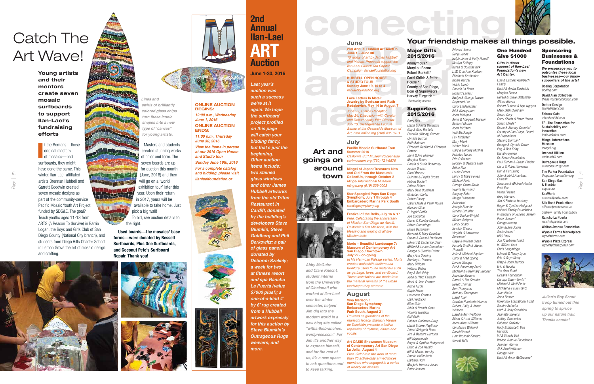# CONCO **June**

**2nd Annual Hubbell Art AuctÚn June 1 – June 30**  *15 works of art by James Hubbell and friends. Proceeds support the*  **Ilan-Lael Foundation Capita** *Campaign. ilanlaelfoundation.org*

**HUBBELL OPEN HOUSE & STUDIO TOUR Sunday June 19, 10 to 4**  *ilanlaelfoundation.org*

**Love Letters In Metal: Jewelry by Svetozar and Ruth Radakovich, May 14 to August 7** *June 25, Exhibit Reception May 24, Discussion with Curator and Documentary Film Director July 13, Distinguished Lecture Series at the Oceanside Museum of Art, oma-online.org (760) 435-3721* 

**July Pacific Mosaic Surfboard Tour** 

**Summer 2016** *California Surf Museum/Oceanside surfmuseum.org (760) 721-6876* 

**Star Spangled Pops San Diego Symphony, July 1 through 4 Embarcadero Marina Park South**  *sandiegosymphony.org*

**Festival of the Bells, July 16 & 17** *Free. Celebrating the anniversary of Mission San Diego de Alcalá, California's first Missions, with the blessing and ringing of all five Mission bells.*

**Moris – Beautiful Landscape 7: Museum of Contemporary Art San Diego /Downtown July 22 - on-going**  *In his Hermoso Paisaje series, Moris creates makeshift shelters and furniture using found materials such as garbage, tarps, and cardboard. These installations are made from the material remains of the urban landscape they recreate.* 

**Mingei of Japan: Treasures New and Old From the Museum's CollectUn, through October 2** *Mingei International Museum mingei.org (619) 239-0003* **town**

### **August**

**Viva Mariachi! San Diego Symphony, Embarcadero Marina Park South, August 21** *Revered as guardians of the mariachi legacy, Mariachi Vargas de Tecalitlán presents a festive repertoire of rhythms, dance and vocals.*

**Art OASIS Showcase: Museum of Contemporary Art San Diego La Jolla, August 4** *Free. Celebrate the work of more than 75 active-duty armed forces members who engaged in a series of weekly art classes.*

**Art and goings on** 

**around** 

### **Your friendship makes all things possible.**



Major Gifts 2015/2016 Anonymous \*

MaryLou Boone Robert Burkett\* Carol Childs & Peter House \* County of San Diego, Boar of Supervisors Harvey Furgatch \* *\*Sustaining donors*

### Supporters 2015/2016

*Betty Ball David & Amita Bardwick Gay & Glen Barfield Franklin (Woody) Barnes Cynthia Barron Ruth Batman Elizabeth Bedford & Elizabeth Draper Sunil & Ava Bhavsar Marylou Boone Gerald & Susie Bottomley Janice Branch Carol Brewer Quinton & Phyllis Brown Robert Burkett Althea Brimm Mary Beth Burnham Gretchen Carter Arthur Casey Carol Childs & Peter House Nancee Cline C. Ingrid Coffin Joe Compton Diane & Stanley Coombs Alison Cummings Bruce Dammann Bernard & Mary Davidow Susan & Russell Davidson*

*Edward & Catherine Dean Milford & Laurie Donaldson George & Cynthia Driver Mary Ann Doering Sterling L. Dorman Mary Dilligan William Disher Peg & Bob Eddy John & Heidi Farkash Mark & Jean Farmer Arline Fisch Gayle Fisher Lawrence Forman Carl Fredricks Ellen Geis Albin & Brenda Gess Victoria Grostick Gail Guth Rebeca Gutierrez-Griep David & Loxe Hagthrop Alfred &Virginia Hales Jim & Barbara Hartung Bill Haynsworth Roger & Cynthia Hedgecock Brian & Zoe Herald Bill & Marion Hinchy Amelia Hollenbeck*

*Barbara Holm* 

*Marjorie Howard-Jones*

*Peter Jensen*





original masters of mosaics—had

> year. Upon their return in 2017, yours will be available to take home. Just pick a big wall! To bid, see auction details to the right.

*Edward Jones Sonja Jones Ralph Jones & Patty Howell Marilyn Kellogg Karen & Douglas Kirk L.W. & Jo Ann Knutson Elizabeth Kruidenier Klonie Kunzel Vickie Lamb Cherrie La Porte Richard Lareau Evelyn & George Lavars Raymond Lee Carol Lindemulde Ed & Nancy Lyon John Malugen Anne & Margaret Marston Richard Martin John McCann Valli McDougle Fay McQueen Mary Munk Walter Munk Gary & Dorothy Mushet Felicitas Nunez Erin O'Rourke Rodney & Barbara Orth Arline Paa Laurie Peters Henry & Mary Powell Michael Pinto Carolyn Owen-Towle Valerie Raymond Gregory Robe Marge Rubenson Julie Ruef Joseph Runnion Sandra Schiefer Carol Schloo-Wright Miriam Sellgren Henry Sharp Sinclair Sheers Virginia & Lawrence Sherwood Gayle & William Sides Pamela Smith & Steven Thurrott Julie & Michael Squires Carol & Fred Spong Dennis Stanger Pat & Rosemary Stark Michael & Rosemary Stepner Jeanette Stevens Darrell & Pat Straube Rusell Thomas Ann Thompson Anthony Thompson David Toler Osvaldo Humberto Viveros Robert, Sally, & Janet Wallace David & Ann Wellborn Albert & Armi Williams Jacquoline Williams Constance Williford Donald Wood Lynn Wosnak-Ferraro* 

*Gerald Yaffe*

### One Hundred Give \$1000

*Gifts in direct support of Ilan-Lael Foundation's new Art Center.*

*Lisa & Earnest Auerbach Family David & Amita Bardwick Marylou Boone Gerald & Susie Bottomley Althea Brimm Robert Burkett & Nga Nguyen Mary Beth Burnham Susan Cary Carol Childs & Peter House Susan Childs\* Diane & Stanley Coombs\* County of San Diego, Board of Supervisors Sterling Dorman\* George & Cynthia Driver Peg & Bob Eddy Danah Fayman Dr. Seuss Foundation Paul Eichen & Susan Fleider Carol & Robert Emerick Don & Pat Ewing John & Heidi Auerbach Farkash Susanna & Michael Flaster Patti Fox Verda Friesen Greg Hamann Jim & Barbara Hartung Roger & Cynthia Hedgcock Hubbell Family Foundation In memory of Janeen Jensen Peter Jensen\* George Jessop John &Dina Johns Sonja Jones\* KRC Rock Jon Krabbenschmidt H. William Kuni Chris Loughridge Edward & Nancy Lyon Eric & Gaye Macy Risty & John Marckx Erin O'Rourke The Orca Fund Oceans Foundation Carolyn Owen-Towle\* Michael & Meili Pinto\* Michael & Paula Rantz Joan Rieter Anne Rosser Rokenbok Educational Fund Sandra Schiefer Herb & Jody Scholnick Jeanette Stevens Jeffrey Swenerton Deborah Szekely\* Rudy & Elizabeth Van Hunnick VJ & Wanda Vint Walton Avenue Foundation Jennifer Warner Al & Armi Williams George Weir David & Anne Wellbourne\**

### Sponsoring Businesses & Foundations

*We encourage you to patronize these local businesses—our fellow supporters of the arts!*

Boeing Corporation *boeing.com* David Alan Collection

*thedavidalancollection.com* Deitter Design *lauriedietter.com*

Fairouz Cafe *alnashashibi.com*

FSI-The Foundation for Sustainability and Innovation *fsifoundation.com*

Mingei International Museum *mingei.org*

Orchard Hill Inn *orchardhill.com*

Outrageous Rugs *outrageousrugs.com*

The Parker Foundation *theparkerfoundation.org*

San Diego Gas & Electric *sdge.com*

SeaWorld *seaworldparks.com*  Silk Road Productions

*silkroadproductions.us* Szekely Family Foundation

Rancho La Puerta *rancholapuerta.com* 

Walton Avenue Foundation Wynola Farms Marketplace *wynolafarms.com*

Wynola Pizza Express *wynolapizzaexpress.com*



## Catch The Art Wave!

Masters and students created stunning works of color and form. The seven boards are up for auction this month (June, 2016) and then will go on a 'world exhibition tour' later this

**Used boards—the mosaics' base forms—were donated by Bessell Surfboards, Plus One Surfboards, and Coconut Pete's Surfboard Repair. Thank you!**









**ONLINE AUCTION BEGINS:**  *12:00 a.m., Wednesday June 1, 2016*

**ONLINE AUCTION** 

**ENDS:** *11:00 p.m., Thursday June 30, 2016 View the items in person at our 2016 Open House and Studio tour Sunday June 19th, 2016 For a complete catalog and bidding, please visit Ilanlaelfoundation.or*







### **2nd Annual Ilan-Lael ART Auction**

### **June 1-30, 2016**

*Last year's* 

**I** f the Romans—those surfboards, they might have done the same. This winter, Ilan-Lael-affiliated artists Brennan Hubbell and Garrett Goodwin created seven mosaic designs as part of the community-service Pacific Mosaic Youth Art Project funded by SDG&E. The goal? Teach youths ages 11-18 from ARTS (A Reason To Survive) in Barrio Logan, the Boys and Girls Club of San Diego County (National City branch), and students from Diego Hills Charter School in Lemon Grove the art of mosaic design and crafting. **6. 7.**



*auction was such a success we're at it again. We hope the surfboard project profiled on this page will catch your bidding fancy, but that's just the beginning. Other auction items include: two stained glass windows and other James Hubbell artworks from the old Triton Restaurant in Cardiff, donated by the building's developers Steve Blumkin, Steve Goldberg and Phil Berkowitz; a pair of glass panels donated by Deborah Szekely; a week for two at fitness resort and spa Rancho La Puerta (value \$7000 plus!); a one-of-a-kind 4' by 6' rug created from a Hubbell artwork expressly for this auction by Steve Blumkin's Outrageous Rugs weavers; and more.*

**Young artists and their mentors create seven mosaic surfboards to support Ilan-Lael's fundraising efforts**



*colored glass chips turn these iconic shapes into a new type of "canvas" for young artists.*

> *Abby McGuire and Clare Knecht, student interns from the University of Cincinnati who worked at Ilan-Lael over the winter semester, helped Jim dig into the modern world in a new blog site called "withinthebranches. wordpress.com." For Jim it's another way to express himself, and for the rest of us, it's a new space to ask questions and to keep talking.*

*Julian's Boy Scout troop turned out this spring to spruce up our nature trail. Thanks scouts!*

*Page |*

*Page |*